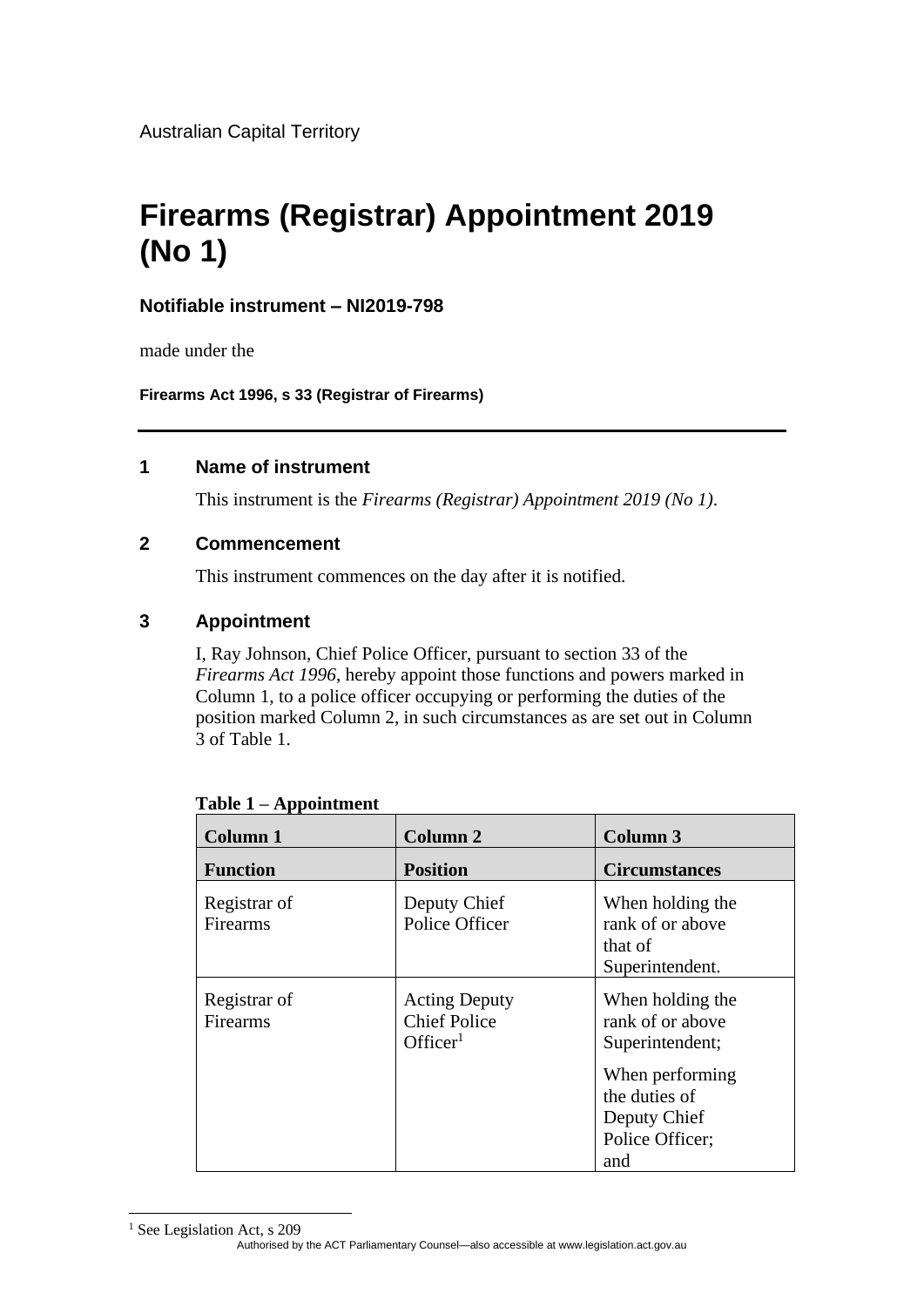Australian Capital Territory

# **Firearms (Registrar) Appointment 2019 (No 1)**

# **Notifiable instrument – NI2019-798**

made under the

**Firearms Act 1996, s 33 (Registrar of Firearms)**

# **1 Name of instrument**

This instrument is the *Firearms (Registrar) Appointment 2019 (No 1)*.

# **2 Commencement**

This instrument commences on the day after it is notified.

# **3 Appointment**

I, Ray Johnson, Chief Police Officer, pursuant to section 33 of the *Firearms Act 1996*, hereby appoint those functions and powers marked in Column 1, to a police officer occupying or performing the duties of the position marked Column 2, in such circumstances as are set out in Column 3 of Table 1.

| <b>Column 1</b>          | <b>Column 2</b>                                                     | <b>Column 3</b>                                                                                                                       |
|--------------------------|---------------------------------------------------------------------|---------------------------------------------------------------------------------------------------------------------------------------|
| <b>Function</b>          | <b>Position</b>                                                     | <b>Circumstances</b>                                                                                                                  |
| Registrar of<br>Firearms | Deputy Chief<br>Police Officer                                      | When holding the<br>rank of or above<br>that of<br>Superintendent.                                                                    |
| Registrar of<br>Firearms | <b>Acting Deputy</b><br><b>Chief Police</b><br>Officer <sup>1</sup> | When holding the<br>rank of or above<br>Superintendent;<br>When performing<br>the duties of<br>Deputy Chief<br>Police Officer;<br>and |

|  | Table 1 – Appointment |
|--|-----------------------|
|  |                       |

Authorised by the ACT Parliamentary Counsel—also accessible at www.legislation.act.gov.au <sup>1</sup> See Legislation Act, s 209